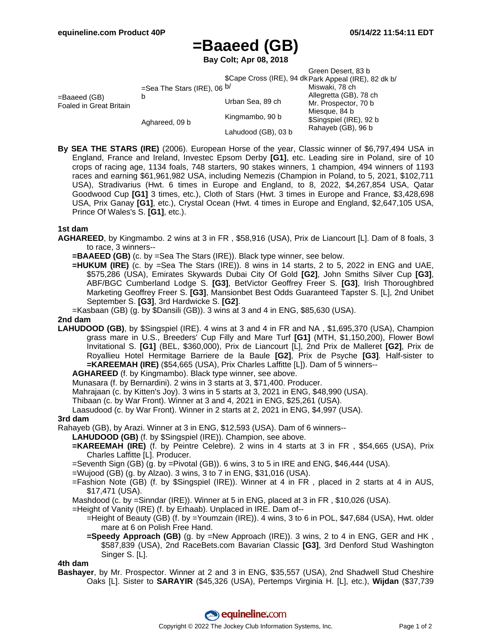# **=Baaeed (GB)**

**Bay Colt; Apr 08, 2018**

|                                         |                                    |                                                       | Green Desert, 83 b                       |  |
|-----------------------------------------|------------------------------------|-------------------------------------------------------|------------------------------------------|--|
|                                         |                                    | \$Cape Cross (IRE), 94 dk Park Appeal (IRE), 82 dk b/ |                                          |  |
| =Baaeed (GB)<br>Foaled in Great Britain | =Sea The Stars (IRE), 06 $b/$<br>b |                                                       | Miswaki, 78 ch                           |  |
|                                         |                                    | Urban Sea, 89 ch                                      | Allegretta (GB), 78 ch                   |  |
|                                         |                                    |                                                       | Mr. Prospector, 70 b                     |  |
|                                         | Aghareed, 09 b                     | Kingmambo, 90 b                                       | Miesque, 84 b<br>\$Singspiel (IRE), 92 b |  |
|                                         |                                    | Lahudood (GB), 03 b                                   | Rahayeb (GB), 96 b                       |  |

**By SEA THE STARS (IRE)** (2006). European Horse of the year, Classic winner of \$6,797,494 USA in England, France and Ireland, Investec Epsom Derby **[G1]**, etc. Leading sire in Poland, sire of 10 crops of racing age, 1134 foals, 748 starters, 90 stakes winners, 1 champion, 494 winners of 1193 races and earning \$61,961,982 USA, including Nemezis (Champion in Poland, to 5, 2021, \$102,711 USA), Stradivarius (Hwt. 6 times in Europe and England, to 8, 2022, \$4,267,854 USA, Qatar Goodwood Cup **[G1]** 3 times, etc.), Cloth of Stars (Hwt. 3 times in Europe and France, \$3,428,698 USA, Prix Ganay **[G1]**, etc.), Crystal Ocean (Hwt. 4 times in Europe and England, \$2,647,105 USA, Prince Of Wales's S. **[G1]**, etc.).

### **1st dam**

- **AGHAREED**, by Kingmambo. 2 wins at 3 in FR , \$58,916 (USA), Prix de Liancourt [L]. Dam of 8 foals, 3 to race, 3 winners--
	- **=BAAEED (GB)** (c. by =Sea The Stars (IRE)). Black type winner, see below.
	- **=HUKUM (IRE)** (c. by =Sea The Stars (IRE)). 8 wins in 14 starts, 2 to 5, 2022 in ENG and UAE, \$575,286 (USA), Emirates Skywards Dubai City Of Gold **[G2]**, John Smiths Silver Cup **[G3]**, ABF/BGC Cumberland Lodge S. **[G3]**, BetVictor Geoffrey Freer S. **[G3]**, Irish Thoroughbred Marketing Geoffrey Freer S. **[G3]**, Mansionbet Best Odds Guaranteed Tapster S. [L], 2nd Unibet September S. **[G3]**, 3rd Hardwicke S. **[G2]**.
	- =Kasbaan (GB) (g. by \$Dansili (GB)). 3 wins at 3 and 4 in ENG, \$85,630 (USA).

#### **2nd dam**

**LAHUDOOD (GB)**, by \$Singspiel (IRE). 4 wins at 3 and 4 in FR and NA , \$1,695,370 (USA), Champion grass mare in U.S., Breeders' Cup Filly and Mare Turf **[G1]** (MTH, \$1,150,200), Flower Bowl Invitational S. **[G1]** (BEL, \$360,000), Prix de Liancourt [L], 2nd Prix de Malleret **[G2]**, Prix de Royallieu Hotel Hermitage Barriere de la Baule **[G2]**, Prix de Psyche **[G3]**. Half-sister to **=KAREEMAH (IRE)** (\$54,665 (USA), Prix Charles Laffitte [L]). Dam of 5 winners--

**AGHAREED** (f. by Kingmambo). Black type winner, see above.

Munasara (f. by Bernardini). 2 wins in 3 starts at 3, \$71,400. Producer.

Mahrajaan (c. by Kitten's Joy). 3 wins in 5 starts at 3, 2021 in ENG, \$48,990 (USA).

Thibaan (c. by War Front). Winner at 3 and 4, 2021 in ENG, \$25,261 (USA).

Laasudood (c. by War Front). Winner in 2 starts at 2, 2021 in ENG, \$4,997 (USA).

#### **3rd dam**

Rahayeb (GB), by Arazi. Winner at 3 in ENG, \$12,593 (USA). Dam of 6 winners--

**LAHUDOOD (GB)** (f. by \$Singspiel (IRE)). Champion, see above.

**=KAREEMAH (IRE)** (f. by Peintre Celebre). 2 wins in 4 starts at 3 in FR , \$54,665 (USA), Prix Charles Laffitte [L]. Producer.

=Seventh Sign (GB) (g. by =Pivotal (GB)). 6 wins, 3 to 5 in IRE and ENG, \$46,444 (USA).

- =Wujood (GB) (g. by Alzao). 3 wins, 3 to 7 in ENG, \$31,016 (USA).
- =Fashion Note (GB) (f. by \$Singspiel (IRE)). Winner at 4 in FR , placed in 2 starts at 4 in AUS, \$17,471 (USA).

Mashdood (c. by =Sinndar (IRE)). Winner at 5 in ENG, placed at 3 in FR , \$10,026 (USA).

- =Height of Vanity (IRE) (f. by Erhaab). Unplaced in IRE. Dam of--
	- =Height of Beauty (GB) (f. by =Youmzain (IRE)). 4 wins, 3 to 6 in POL, \$47,684 (USA), Hwt. older mare at 6 on Polish Free Hand.
	- **=Speedy Approach (GB)** (g. by =New Approach (IRE)). 3 wins, 2 to 4 in ENG, GER and HK , \$587,839 (USA), 2nd RaceBets.com Bavarian Classic **[G3]**, 3rd Denford Stud Washington Singer S. [L].

#### **4th dam**

**Bashayer**, by Mr. Prospector. Winner at 2 and 3 in ENG, \$35,557 (USA), 2nd Shadwell Stud Cheshire Oaks [L]. Sister to **SARAYIR** (\$45,326 (USA), Pertemps Virginia H. [L], etc.), **Wijdan** (\$37,739